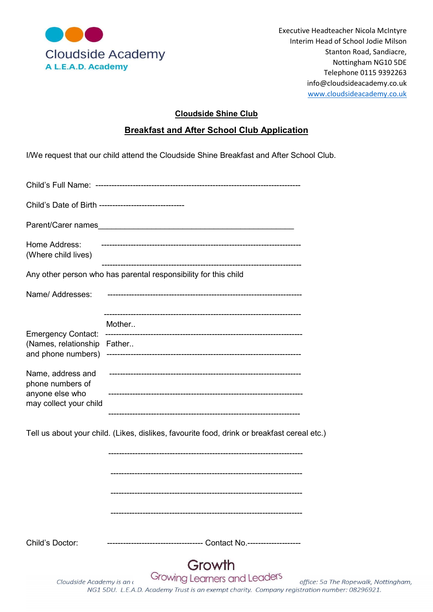

#### Cloudside Shine Club

# Breakfast and After School Club Application

I/We request that our child attend the Cloudside Shine Breakfast and After School Club.

|                                                                                             | Child's Date of Birth --------------------------------                                                                                                               |  |  |  |
|---------------------------------------------------------------------------------------------|----------------------------------------------------------------------------------------------------------------------------------------------------------------------|--|--|--|
|                                                                                             |                                                                                                                                                                      |  |  |  |
| Home Address:<br>(Where child lives)                                                        |                                                                                                                                                                      |  |  |  |
|                                                                                             | Any other person who has parental responsibility for this child                                                                                                      |  |  |  |
| Name/Addresses:                                                                             |                                                                                                                                                                      |  |  |  |
|                                                                                             | Mother                                                                                                                                                               |  |  |  |
| <b>Emergency Contact:</b><br>(Names, relationship Father<br>and phone numbers)              |                                                                                                                                                                      |  |  |  |
| Name, address and<br>phone numbers of<br>anyone else who<br>may collect your child          |                                                                                                                                                                      |  |  |  |
| Tell us about your child. (Likes, dislikes, favourite food, drink or breakfast cereal etc.) |                                                                                                                                                                      |  |  |  |
|                                                                                             |                                                                                                                                                                      |  |  |  |
|                                                                                             |                                                                                                                                                                      |  |  |  |
|                                                                                             |                                                                                                                                                                      |  |  |  |
|                                                                                             |                                                                                                                                                                      |  |  |  |
| Child's Doctor:                                                                             |                                                                                                                                                                      |  |  |  |
|                                                                                             | Growth                                                                                                                                                               |  |  |  |
| Cloudside Academy is an a                                                                   | Growing Learners and Leaders<br>office: 5a The Ropewalk, Nottingham,<br>NG1 5DU. L.E.A.D. Academy Trust is an exempt charity. Company registration number: 08296921. |  |  |  |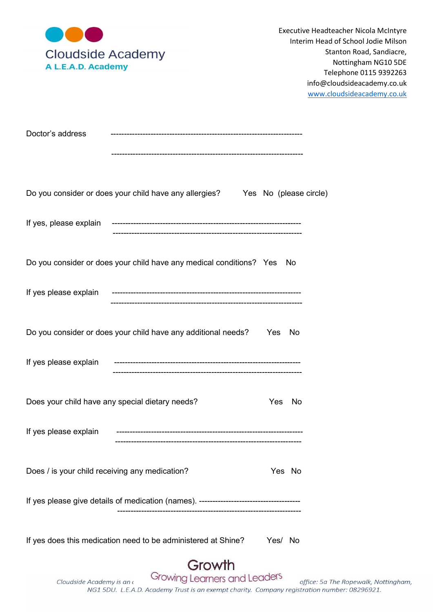

| Doctor's address                                                                                                                                                                                            |  |  |  |  |
|-------------------------------------------------------------------------------------------------------------------------------------------------------------------------------------------------------------|--|--|--|--|
|                                                                                                                                                                                                             |  |  |  |  |
| Do you consider or does your child have any allergies? Yes No (please circle)                                                                                                                               |  |  |  |  |
| If yes, please explain                                                                                                                                                                                      |  |  |  |  |
| Do you consider or does your child have any medical conditions? Yes<br>No.                                                                                                                                  |  |  |  |  |
| If yes please explain                                                                                                                                                                                       |  |  |  |  |
| Do you consider or does your child have any additional needs? Yes No                                                                                                                                        |  |  |  |  |
| If yes please explain                                                                                                                                                                                       |  |  |  |  |
| Does your child have any special dietary needs?<br>Yes No                                                                                                                                                   |  |  |  |  |
| If yes please explain                                                                                                                                                                                       |  |  |  |  |
| Does / is your child receiving any medication?<br>Yes No                                                                                                                                                    |  |  |  |  |
| -------------------------------                                                                                                                                                                             |  |  |  |  |
| If yes does this medication need to be administered at Shine?<br>Yes/ No                                                                                                                                    |  |  |  |  |
| Growth<br>Growing Learners and Leaders<br>Cloudside Academy is an a<br>office: 5a The Ropewalk, Nottingham,<br>NG1 5DU. L.E.A.D. Academy Trust is an exempt charity. Company registration number: 08296921. |  |  |  |  |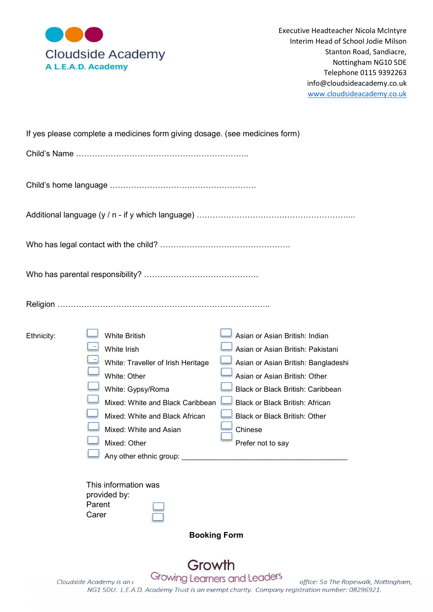

|                                                                                                                                                                                                             | If yes please complete a medicines form giving dosage. (see medicines form)                                                                                                                                                                                                                                                                                                                                                                                                                                                                       |  |  |  |  |
|-------------------------------------------------------------------------------------------------------------------------------------------------------------------------------------------------------------|---------------------------------------------------------------------------------------------------------------------------------------------------------------------------------------------------------------------------------------------------------------------------------------------------------------------------------------------------------------------------------------------------------------------------------------------------------------------------------------------------------------------------------------------------|--|--|--|--|
|                                                                                                                                                                                                             |                                                                                                                                                                                                                                                                                                                                                                                                                                                                                                                                                   |  |  |  |  |
|                                                                                                                                                                                                             |                                                                                                                                                                                                                                                                                                                                                                                                                                                                                                                                                   |  |  |  |  |
|                                                                                                                                                                                                             | Additional language (y / n - if y which language) …………………………………………………                                                                                                                                                                                                                                                                                                                                                                                                                                                                             |  |  |  |  |
|                                                                                                                                                                                                             |                                                                                                                                                                                                                                                                                                                                                                                                                                                                                                                                                   |  |  |  |  |
|                                                                                                                                                                                                             |                                                                                                                                                                                                                                                                                                                                                                                                                                                                                                                                                   |  |  |  |  |
|                                                                                                                                                                                                             |                                                                                                                                                                                                                                                                                                                                                                                                                                                                                                                                                   |  |  |  |  |
| Ethnicity:                                                                                                                                                                                                  | <b>White British</b><br>Asian or Asian British: Indian<br>White Irish<br>Asian or Asian British: Pakistani<br>White: Traveller of Irish Heritage<br>Asian or Asian British: Bangladeshi<br>White: Other<br>Asian or Asian British: Other<br>White: Gypsy/Roma<br>Black or Black British: Caribbean<br>Mixed: White and Black Caribbean<br>Black or Black British: African<br>Mixed: White and Black African<br>Black or Black British: Other<br>Mixed: White and Asian<br>Chinese<br>Mixed: Other<br>Prefer not to say<br>Any other ethnic group: |  |  |  |  |
|                                                                                                                                                                                                             | This information was<br>provided by:<br>Parent<br>Carer                                                                                                                                                                                                                                                                                                                                                                                                                                                                                           |  |  |  |  |
| <b>Booking Form</b>                                                                                                                                                                                         |                                                                                                                                                                                                                                                                                                                                                                                                                                                                                                                                                   |  |  |  |  |
| Growth<br>Growing Learners and Leaders<br>Cloudside Academy is an a<br>office: 5a The Ropewalk, Nottingham,<br>NG1 5DU. L.E.A.D. Academy Trust is an exempt charity. Company registration number: 08296921. |                                                                                                                                                                                                                                                                                                                                                                                                                                                                                                                                                   |  |  |  |  |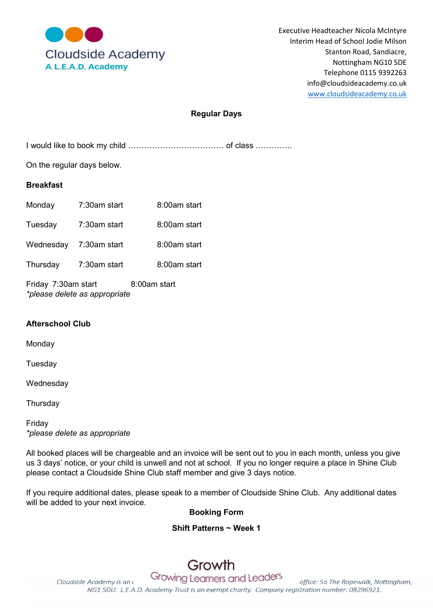

#### Regular Days

I would like to book my child ……………………………… of class …………..

On the regular days below.

#### Breakfast

| Monday              | 7:30am start | 8:00am start |
|---------------------|--------------|--------------|
| Tuesday             | 7:30am start | 8:00am start |
| Wednesday           | 7:30am start | 8:00am start |
| Thursday            | 7:30am start | 8:00am start |
| Friday 7:30am start |              | 8:00am start |

\*please delete as appropriate

#### Afterschool Club

Monday

**Tuesday** 

**Wednesday** 

**Thursday** 

Friday \*please delete as appropriate

All booked places will be chargeable and an invoice will be sent out to you in each month, unless you give us 3 days' notice, or your child is unwell and not at school. If you no longer require a place in Shine Club please contact a Cloudside Shine Club staff member and give 3 days notice.

If you require additional dates, please speak to a member of Cloudside Shine Club. Any additional dates will be added to your next invoice.

#### Booking Form

#### Shift Patterns ~ Week 1

# Growth

Growing Learners and Leaders office: 5a The Ropewalk, Nottingham, Cloudside Academy is an a NG1 5DU. L.E.A.D. Academy Trust is an exempt charity. Company registration number: 08296921.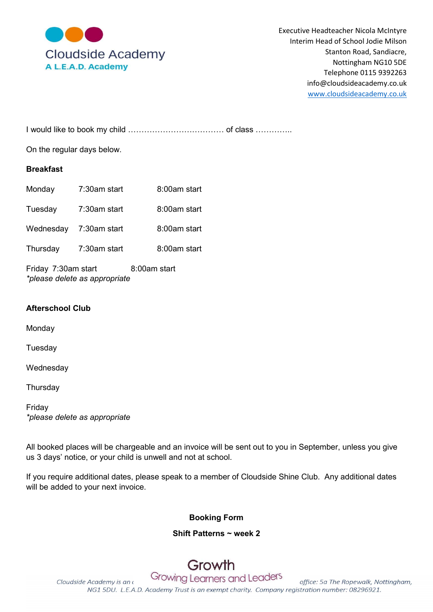

I would like to book my child ……………………………… of class …………..

On the regular days below.

#### Breakfast

| Monday    | 7:30am start | 8:00am start |
|-----------|--------------|--------------|
| Tuesday   | 7:30am start | 8:00am start |
| Wednesday | 7:30am start | 8:00am start |
| Thursday  | 7:30am start | 8:00am start |
|           |              |              |

Friday 7:30am start 8:00am start \*please delete as appropriate

# Afterschool Club

Monday

**Tuesday** 

**Wednesday** 

**Thursday** 

Friday \*please delete as appropriate

All booked places will be chargeable and an invoice will be sent out to you in September, unless you give us 3 days' notice, or your child is unwell and not at school.

If you require additional dates, please speak to a member of Cloudside Shine Club. Any additional dates will be added to your next invoice.

# Booking Form

Shift Patterns ~ week 2

# Growth

Growing Learners and Leaders office: 5a The Ropewalk, Nottingham, Cloudside Academy is an a NG1 5DU. L.E.A.D. Academy Trust is an exempt charity. Company registration number: 08296921.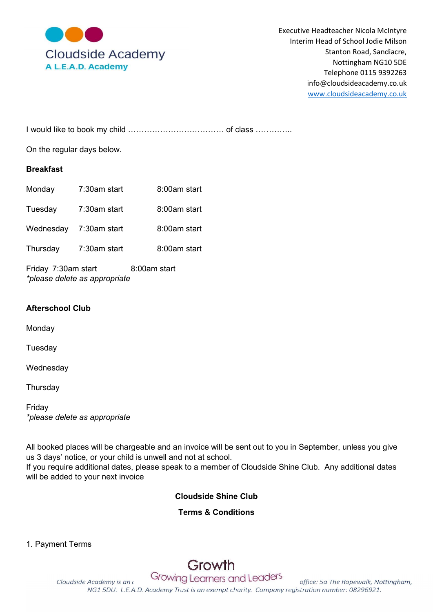

I would like to book my child ……………………………… of class …………..

On the regular days below.

#### Breakfast

| Monday   | 7:30am start           | 8:00am start |
|----------|------------------------|--------------|
| Tuesday  | 7:30am start           | 8:00am start |
|          | Wednesday 7:30am start | 8:00am start |
| Thursday | 7:30am start           | 8:00am start |
|          |                        |              |

Friday 7:30am start 8:00am start \*please delete as appropriate

# Afterschool Club

Monday

**Tuesday** 

**Wednesday** 

**Thursday** 

Friday \*please delete as appropriate

All booked places will be chargeable and an invoice will be sent out to you in September, unless you give us 3 days' notice, or your child is unwell and not at school. If you require additional dates, please speak to a member of Cloudside Shine Club. Any additional dates will be added to your next invoice

# Cloudside Shine Club

# Terms & Conditions

1. Payment Terms

# Growth

Growing Learners and Leaders office: 5a The Ropewalk, Nottingham, Cloudside Academy is an a NG1 5DU. L.E.A.D. Academy Trust is an exempt charity. Company registration number: 08296921.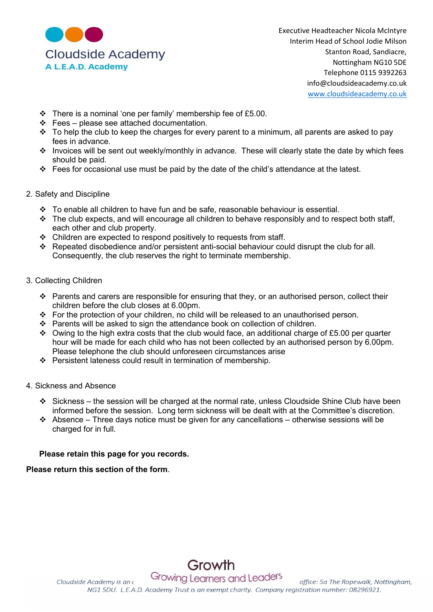

- $\div$  There is a nominal 'one per family' membership fee of £5.00.
- $\div$  Fees please see attached documentation.
- $\cdot \cdot$  To help the club to keep the charges for every parent to a minimum, all parents are asked to pay fees in advance.
- \* Invoices will be sent out weekly/monthly in advance. These will clearly state the date by which fees should be paid.
- Fees for occasional use must be paid by the date of the child's attendance at the latest.
- 2. Safety and Discipline
	- $\div$  To enable all children to have fun and be safe, reasonable behaviour is essential.
	- \* The club expects, and will encourage all children to behave responsibly and to respect both staff, each other and club property.
	- Children are expected to respond positively to requests from staff.
	- Repeated disobedience and/or persistent anti-social behaviour could disrupt the club for all. Consequently, the club reserves the right to terminate membership.
- 3. Collecting Children
	- \* Parents and carers are responsible for ensuring that they, or an authorised person, collect their children before the club closes at 6.00pm.
	- For the protection of your children, no child will be released to an unauthorised person.
	- Parents will be asked to sign the attendance book on collection of children.
	- $\cdot$  Owing to the high extra costs that the club would face, an additional charge of £5.00 per quarter hour will be made for each child who has not been collected by an authorised person by 6.00pm. Please telephone the club should unforeseen circumstances arise
	- Persistent lateness could result in termination of membership.
- 4. Sickness and Absence
	- $\div$  Sickness the session will be charged at the normal rate, unless Cloudside Shine Club have been informed before the session. Long term sickness will be dealt with at the Committee's discretion.
	- $\cdot \cdot$  Absence Three days notice must be given for any cancellations otherwise sessions will be charged for in full.

# Please retain this page for you records.

# Please return this section of the form.

Growing Learners and Leaders office: 5a The Ropewalk, Nottingham, Cloudside Academy is an a NG1 5DU. L.E.A.D. Academy Trust is an exempt charity. Company registration number: 08296921.

Growth